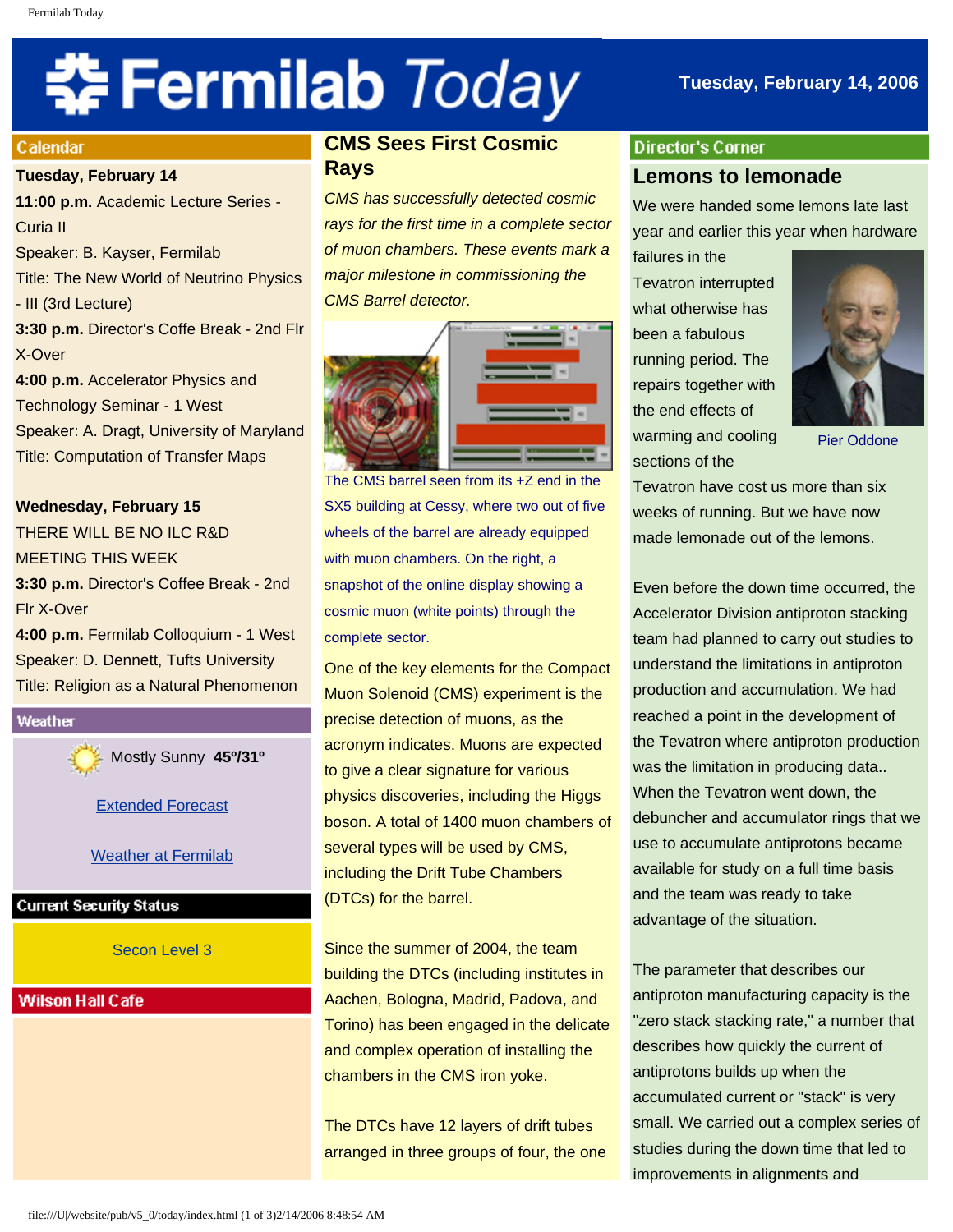# **‡⊱Fermilab** *Today*

## **Tuesday, February 14, 2006**

#### **Calendar**

#### **Tuesday, February 14**

**11:00 p.m.** Academic Lecture Series - Curia II Speaker: B. Kayser, Fermilab Title: The New World of Neutrino Physics - III (3rd Lecture) **3:30 p.m.** Director's Coffe Break - 2nd Flr X-Over **4:00 p.m.** Accelerator Physics and Technology Seminar - 1 West Speaker: A. Dragt, University of Maryland Title: Computation of Transfer Maps

## **Wednesday, February 15**

THERE WILL BE NO ILC R&D MEETING THIS WEEK **3:30 p.m.** Director's Coffee Break - 2nd Flr X-Over

**4:00 p.m.** Fermilab Colloquium - 1 West Speaker: D. Dennett, Tufts University Title: Religion as a Natural Phenomenon



Mostly Sunny **45º/31º**

[Extended Forecast](http://www.srh.noaa.gov/data/forecasts/ILZ012.php?warncounty=ILC089&city=Batavia)

Weather at Fermilab

#### **Current Security Status**

[Secon Level 3](http://www.fnal.gov/pub/about/public_affairs/currentstatus.html)

## **Wilson Hall Cafe**

## **CMS Sees First Cosmic Rays**

*CMS has successfully detected cosmic rays for the first time in a complete sector of muon chambers. These events mark a major milestone in commissioning the CMS Barrel detector.*



The CMS barrel seen from its +Z end in the SX5 building at Cessy, where two out of five wheels of the barrel are already equipped with muon chambers. On the right, a snapshot of the online display showing a cosmic muon (white points) through the complete sector.

One of the key elements for the Compact Muon Solenoid (CMS) experiment is the precise detection of muons, as the acronym indicates. Muons are expected to give a clear signature for various physics discoveries, including the Higgs boson. A total of 1400 muon chambers of several types will be used by CMS, including the Drift Tube Chambers (DTCs) for the barrel.

Since the summer of 2004, the team building the DTCs (including institutes in Aachen, Bologna, Madrid, Padova, and Torino) has been engaged in the delicate and complex operation of installing the chambers in the CMS iron yoke.

The DTCs have 12 layers of drift tubes arranged in three groups of four, the one

## **Director's Corner Lemons to lemonade**

We were handed some lemons late last year and earlier this year when hardware

failures in the Tevatron interrupted what otherwise has been a fabulous running period. The repairs together with the end effects of warming and cooling sections of the



Pier Oddone

Tevatron have cost us more than six weeks of running. But we have now made lemonade out of the lemons.

Even before the down time occurred, the Accelerator Division antiproton stacking team had planned to carry out studies to understand the limitations in antiproton production and accumulation. We had reached a point in the development of the Tevatron where antiproton production was the limitation in producing data.. When the Tevatron went down, the debuncher and accumulator rings that we use to accumulate antiprotons became available for study on a full time basis and the team was ready to take advantage of the situation.

The parameter that describes our antiproton manufacturing capacity is the "zero stack stacking rate," a number that describes how quickly the current of antiprotons builds up when the accumulated current or "stack" is very small. We carried out a complex series of studies during the down time that led to improvements in alignments and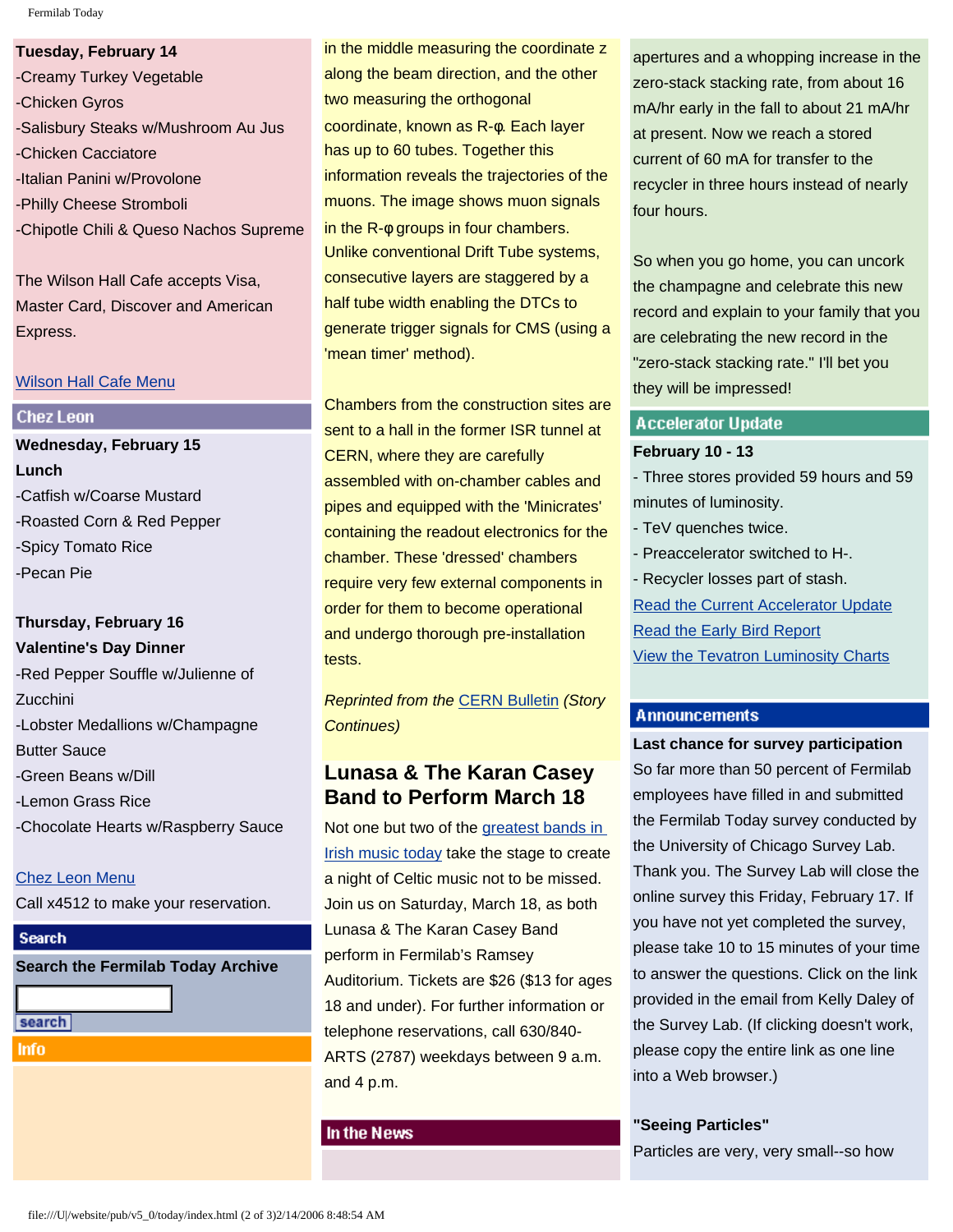Fermilab Today

**Tuesday, February 14** -Creamy Turkey Vegetable -Chicken Gyros -Salisbury Steaks w/Mushroom Au Jus -Chicken Cacciatore -Italian Panini w/Provolone -Philly Cheese Stromboli -Chipotle Chili & Queso Nachos Supreme

The Wilson Hall Cafe accepts Visa, Master Card, Discover and American Express.

#### [Wilson Hall Cafe Menu](http://lss.fnal.gov/cafe/)

## **Chez Leon**

**Wednesday, February 15 Lunch** -Catfish w/Coarse Mustard -Roasted Corn & Red Pepper -Spicy Tomato Rice -Pecan Pie

## **Thursday, February 16 Valentine's Day Dinner**

-Red Pepper Souffle w/Julienne of Zucchini -Lobster Medallions w/Champagne Butter Sauce -Green Beans w/Dill -Lemon Grass Rice -Chocolate Hearts w/Raspberry Sauce

[Chez Leon Menu](http://lss.fnal.gov/chezleon/index.html) Call x4512 to make your reservation.

## **Search**

**Search the Fermilab Today Archive**

search

**Info** 

in the middle measuring the coordinate z along the beam direction, and the other two measuring the orthogonal coordinate, known as R-φ. Each layer has up to 60 tubes. Together this information reveals the trajectories of the muons. The image shows muon signals in the R-φ groups in four chambers. Unlike conventional Drift Tube systems, consecutive layers are staggered by a half tube width enabling the DTCs to generate trigger signals for CMS (using a 'mean timer' method).

Chambers from the construction sites are sent to a hall in the former ISR tunnel at CERN, where they are carefully assembled with on-chamber cables and pipes and equipped with the 'Minicrates' containing the readout electronics for the chamber. These 'dressed' chambers require very few external components in order for them to become operational and undergo thorough pre-installation tests.

*Reprinted from the* [CERN Bulletin](http://bulletin.cern.ch/eng/earticles.php?bullno=07/2006&base=art#Article1) *(Story Continues)*

## **Lunasa & The Karan Casey Band to Perform March 18**

Not one but two of the [greatest bands in](http://www.fnal.gov/culture/Shows/05-06/irishMusic.shtml) [Irish music today](http://www.fnal.gov/culture/Shows/05-06/irishMusic.shtml) take the stage to create a night of Celtic music not to be missed. Join us on Saturday, March 18, as both Lunasa & The Karan Casey Band perform in Fermilab's Ramsey Auditorium. Tickets are \$26 (\$13 for ages 18 and under). For further information or telephone reservations, call 630/840- ARTS (2787) weekdays between 9 a.m. and 4 p.m.

#### In the News

apertures and a whopping increase in the zero-stack stacking rate, from about 16 mA/hr early in the fall to about 21 mA/hr at present. Now we reach a stored current of 60 mA for transfer to the recycler in three hours instead of nearly four hours.

So when you go home, you can uncork the champagne and celebrate this new record and explain to your family that you are celebrating the new record in the "zero-stack stacking rate." I'll bet you they will be impressed!

#### **Accelerator Update**

#### **February 10 - 13**

- Three stores provided 59 hours and 59 minutes of luminosity.

- TeV quenches twice.
- Preaccelerator switched to H-.

- Recycler losses part of stash. [Read the Current Accelerator Update](http://www.fnal.gov/pub/news06/update.html) [Read the Early Bird Report](http://www-bd.fnal.gov/earlybird/ebird.html) [View the Tevatron Luminosity Charts](http://www.fnal.gov/pub/now/tevlum.html)

#### **Announcements**

**Last chance for survey participation** So far more than 50 percent of Fermilab employees have filled in and submitted the Fermilab Today survey conducted by the University of Chicago Survey Lab. Thank you. The Survey Lab will close the online survey this Friday, February 17. If you have not yet completed the survey, please take 10 to 15 minutes of your time to answer the questions. Click on the link provided in the email from Kelly Daley of the Survey Lab. (If clicking doesn't work, please copy the entire link as one line into a Web browser.)

### **"Seeing Particles"**

Particles are very, very small--so how